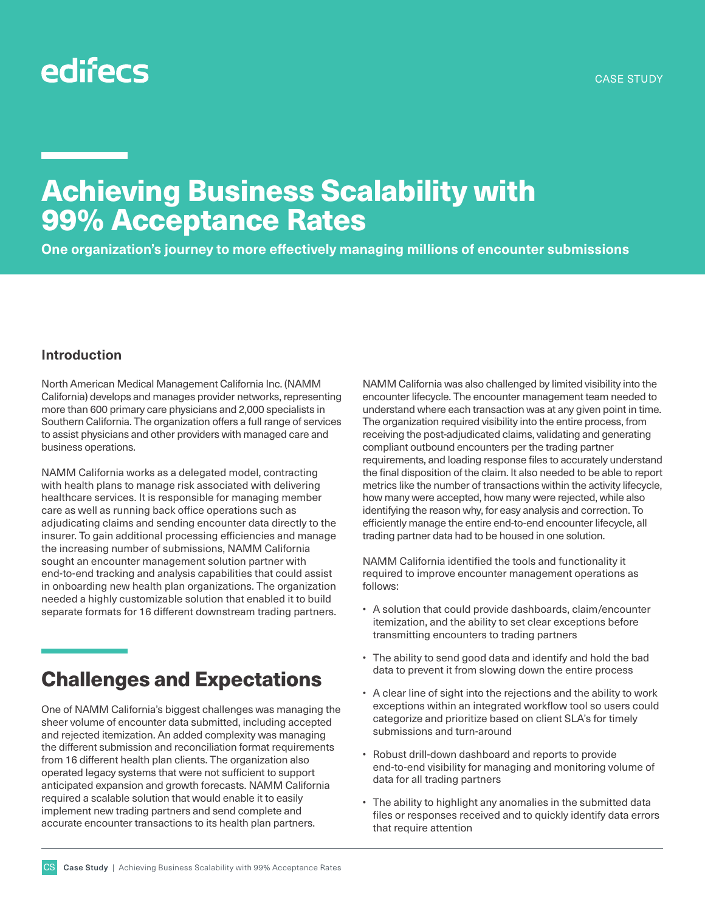# edifecs

## Achieving Business Scalability with 99% Acceptance Rates

**One organization's journey to more effectively managing millions of encounter submissions**

#### **Introduction**

North American Medical Management California Inc. (NAMM California) develops and manages provider networks, representing more than 600 primary care physicians and 2,000 specialists in Southern California. The organization offers a full range of services to assist physicians and other providers with managed care and business operations.

NAMM California works as a delegated model, contracting with health plans to manage risk associated with delivering healthcare services. It is responsible for managing member care as well as running back office operations such as adjudicating claims and sending encounter data directly to the insurer. To gain additional processing efficiencies and manage the increasing number of submissions, NAMM California sought an encounter management solution partner with end-to-end tracking and analysis capabilities that could assist in onboarding new health plan organizations. The organization needed a highly customizable solution that enabled it to build separate formats for 16 different downstream trading partners.

### Challenges and Expectations

One of NAMM California's biggest challenges was managing the sheer volume of encounter data submitted, including accepted and rejected itemization. An added complexity was managing the different submission and reconciliation format requirements from 16 different health plan clients. The organization also operated legacy systems that were not sufficient to support anticipated expansion and growth forecasts. NAMM California required a scalable solution that would enable it to easily implement new trading partners and send complete and accurate encounter transactions to its health plan partners.

NAMM California was also challenged by limited visibility into the encounter lifecycle. The encounter management team needed to understand where each transaction was at any given point in time. The organization required visibility into the entire process, from receiving the post-adjudicated claims, validating and generating compliant outbound encounters per the trading partner requirements, and loading response files to accurately understand the final disposition of the claim. It also needed to be able to report metrics like the number of transactions within the activity lifecycle, how many were accepted, how many were rejected, while also identifying the reason why, for easy analysis and correction. To efficiently manage the entire end-to-end encounter lifecycle, all trading partner data had to be housed in one solution.

NAMM California identified the tools and functionality it required to improve encounter management operations as follows:

- A solution that could provide dashboards, claim/encounter itemization, and the ability to set clear exceptions before transmitting encounters to trading partners
- The ability to send good data and identify and hold the bad data to prevent it from slowing down the entire process
- A clear line of sight into the rejections and the ability to work exceptions within an integrated workflow tool so users could categorize and prioritize based on client SLA's for timely submissions and turn-around
- Robust drill-down dashboard and reports to provide end-to-end visibility for managing and monitoring volume of data for all trading partners
- The ability to highlight any anomalies in the submitted data files or responses received and to quickly identify data errors that require attention